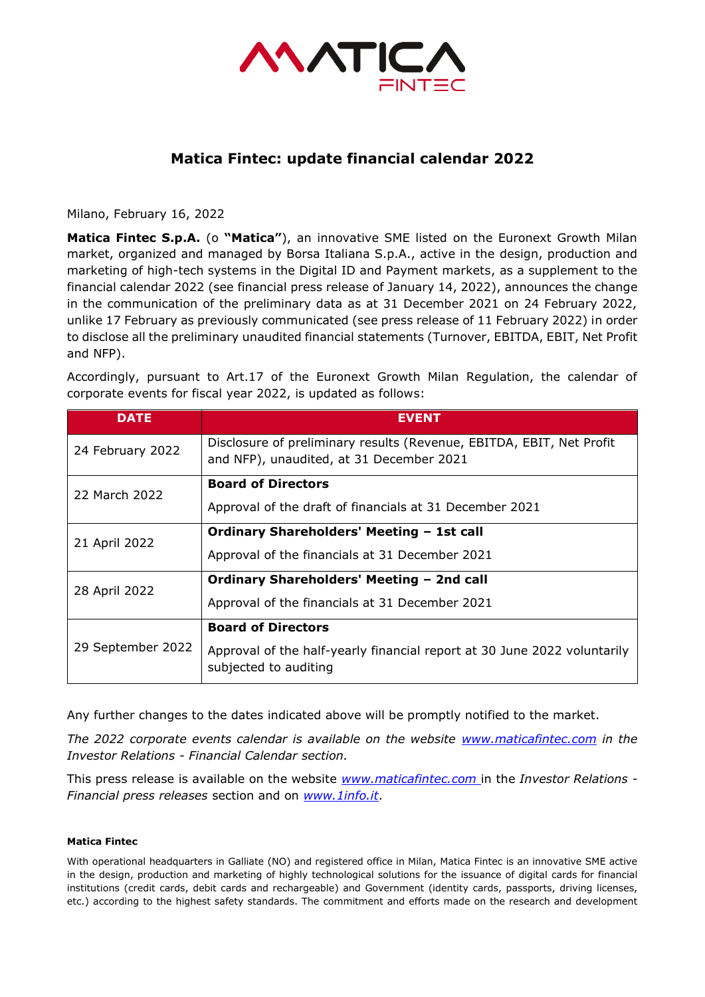

## **Matica Fintec: update financial calendar 2022**

Milano, February 16, 2022

**Matica Fintec S.p.A.** (o **"Matica"**), an innovative SME listed on the Euronext Growth Milan market, organized and managed by Borsa Italiana S.p.A., active in the design, production and marketing of high-tech systems in the Digital ID and Payment markets, as a supplement to the financial calendar 2022 (see financial press release of January 14, 2022), announces the change in the communication of the preliminary data as at 31 December 2021 on 24 February 2022, unlike 17 February as previously communicated (see press release of 11 February 2022) in order to disclose all the preliminary unaudited financial statements (Turnover, EBITDA, EBIT, Net Profit and NFP).

Accordingly, pursuant to Art.17 of the Euronext Growth Milan Regulation, the calendar of corporate events for fiscal year 2022, is updated as follows:

| <b>DATE</b>       | <b>EVENT</b>                                                                                                     |
|-------------------|------------------------------------------------------------------------------------------------------------------|
| 24 February 2022  | Disclosure of preliminary results (Revenue, EBITDA, EBIT, Net Profit<br>and NFP), unaudited, at 31 December 2021 |
| 22 March 2022     | <b>Board of Directors</b>                                                                                        |
|                   | Approval of the draft of financials at 31 December 2021                                                          |
| 21 April 2022     | <b>Ordinary Shareholders' Meeting - 1st call</b>                                                                 |
|                   | Approval of the financials at 31 December 2021                                                                   |
| 28 April 2022     | Ordinary Shareholders' Meeting - 2nd call                                                                        |
|                   | Approval of the financials at 31 December 2021                                                                   |
| 29 September 2022 | <b>Board of Directors</b>                                                                                        |
|                   | Approval of the half-yearly financial report at 30 June 2022 voluntarily<br>subjected to auditing                |

Any further changes to the dates indicated above will be promptly notified to the market.

*The 2022 corporate events calendar is available on the website [www.maticafintec.com](http://www.maticafintec.com/) in the Investor Relations - Financial Calendar section.* 

This press release is available on the website *[www.maticafintec.com](http://www.maticafintec.com/)* in the *Investor Relations - Financial press releases* section and on *[www.1info.it](http://www.1info.it/)*.

## **Matica Fintec**

With operational headquarters in Galliate (NO) and registered office in Milan, Matica Fintec is an innovative SME active in the design, production and marketing of highly technological solutions for the issuance of digital cards for financial institutions (credit cards, debit cards and rechargeable) and Government (identity cards, passports, driving licenses, etc.) according to the highest safety standards. The commitment and efforts made on the research and development